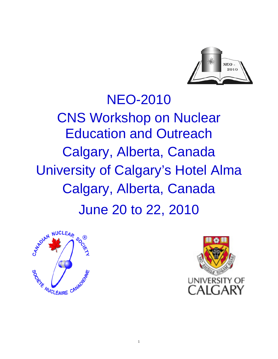

# NEO-2010 CNS Workshop on Nuclear Education and Outreach Calgary, Alberta, Canada University of Calgary's Hotel Alma Calgary, Alberta, Canada June 20 to 22, 2010



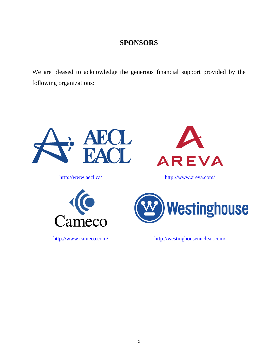### **SPONSORS**

We are pleased to acknowledge the generous financial support provided by the following organizations:

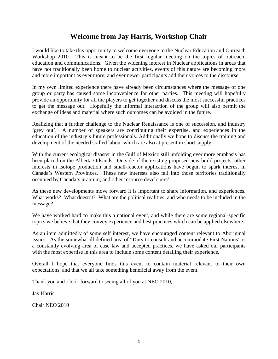### **Welcome from Jay Harris, Workshop Chair**

I would like to take this opportunity to welcome everyone to the Nuclear Education and Outreach Workshop 2010. This is meant to be the first regular meeting on the topics of outreach, education and communications. Given the widening interest in Nuclear applications in areas that have not traditionally been home to nuclear activities, events of this nature are becoming more and more important as ever more, and ever newer participants add their voices to the discourse.

In my own limited experience there have already been circumstances where the message of one group or party has caused some inconvenience for other parties. This meeting will hopefully provide an opportunity for all the players to get together and discuss the most successful practices to get the message out. Hopefully the informal interaction of the group will also permit the exchange of ideas and material where such outcomes can be avoided in the future.

Realizing that a further challenge to the Nuclear Renaissance is one of succession, and industry 'grey out'. A number of speakers are contributing their expertise, and experiences in the education of the industry's future professionals. Additionally we hope to discuss the training and development of the needed skilled labour which are also at present in short supply.

With the current ecological disaster in the Gulf of Mexico still unfolding ever more emphasis has been placed on the Alberta Oilsands. Outside of the existing proposed new-build projects, other interests in isotope production and small-reactor applications have begun to spark interest in Canada's Western Provinces. These new interests also fall into those territories traditionally occupied by Canada's uranium, and other resource developers'.

As these new developments move forward it is important to share information, and experiences. What works? What doesn't? What are the political realities, and who needs to be included in the message?

We have worked hard to make this a national event, and while there are some regional-specific topics we believe that they convey experience and best practices which can be applied elsewhere.

As an item admittedly of some self interest, we have encouraged content relevant to Aboriginal Issues. As the somewhat ill defined area of "Duty to consult and accommodate First Nations" is a constantly evolving area of case law and accepted practices, we have asked our participants with the most expertise in this area to include some content detailing their experience.

Overall I hope that everyone finds this event to contain material relevant to their own expectations, and that we all take something beneficial away from the event.

Thank you and I look forward to seeing all of you at NEO 2010,

Jay Harris,

Chair NEO 2010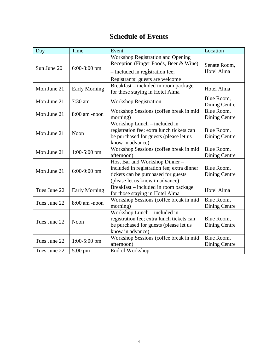# **Schedule of Events**

| Day          | Time              | Event                                                                                                                                                   | Location                           |
|--------------|-------------------|---------------------------------------------------------------------------------------------------------------------------------------------------------|------------------------------------|
| Sun June 20  | $6:00-8:00$ pm    | <b>Workshop Registration and Opening</b><br>Reception (Finger Foods, Beer & Wine)<br>- Included in registration fee;<br>Registrants' guests are welcome | Senate Room,<br>Hotel Alma         |
| Mon June 21  | Early Morning     | Breakfast – included in room package<br>for those staying in Hotel Alma                                                                                 | Hotel Alma                         |
| Mon June 21  | $7:30$ am         | <b>Workshop Registration</b>                                                                                                                            | Blue Room,<br>Dining Centre        |
| Mon June 21  | 8:00 am -noon     | Workshop Sessions (coffee break in mid<br>morning)                                                                                                      | Blue Room,<br>Dining Centre        |
| Mon June 21  | Noon              | Workshop Lunch - included in<br>registration fee; extra lunch tickets can<br>be purchased for guests (please let us<br>know in advance)                 | Blue Room,<br>Dining Centre        |
| Mon June 21  | $1:00-5:00$ pm    | Workshop Sessions (coffee break in mid<br>afternoon)                                                                                                    | Blue Room,<br>Dining Centre        |
| Mon June 21  | $6:00-9:00$ pm    | Host Bar and Workshop Dinner -<br>included in registration fee; extra dinner<br>tickets can be purchased for guests<br>(please let us know in advance)  | Blue Room,<br>Dining Centre        |
| Tues June 22 | Early Morning     | Breakfast – included in room package<br>for those staying in Hotel Alma                                                                                 | Hotel Alma                         |
| Tues June 22 | $8:00$ am -noon   | Workshop Sessions (coffee break in mid<br>morning)                                                                                                      | Blue Room,<br>Dining Centre        |
| Tues June 22 | <b>Noon</b>       | Workshop Lunch - included in<br>registration fee; extra lunch tickets can<br>be purchased for guests (please let us<br>know in advance)                 | Blue Room,<br>Dining Centre        |
| Tues June 22 | $1:00-5:00$ pm    | Workshop Sessions (coffee break in mid<br>afternoon)                                                                                                    | Blue Room,<br><b>Dining Centre</b> |
| Tues June 22 | $5:00 \text{ pm}$ | End of Workshop                                                                                                                                         |                                    |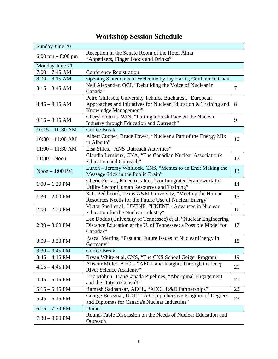| Sunday June 20                      |                                                                 |                |  |  |  |  |
|-------------------------------------|-----------------------------------------------------------------|----------------|--|--|--|--|
|                                     | Reception in the Senate Room of the Hotel Alma                  |                |  |  |  |  |
| $6:00 \text{ pm} - 8:00 \text{ pm}$ | "Appetizers, Finger Foods and Drinks"                           |                |  |  |  |  |
| Monday June 21                      |                                                                 |                |  |  |  |  |
| $7:00 - 7:45$ AM                    | <b>Conference Registration</b>                                  |                |  |  |  |  |
| $8:00 - 8:15$ AM                    | Opening Statements of Welcome by Jay Harris, Conference Chair   |                |  |  |  |  |
| $8:15 - 8:45$ AM                    | Neil Alexander, OCI, "Rebuilding the Voice of Nuclear in        | $\overline{7}$ |  |  |  |  |
|                                     | Canada"                                                         |                |  |  |  |  |
|                                     | Petre Ghitescu, University Tehnica Bucharest, "European         |                |  |  |  |  |
| $8:45 - 9:15$ AM                    | Approaches and Initiatives for Nuclear Education & Training and | 8              |  |  |  |  |
|                                     | Knowledge Management"                                           |                |  |  |  |  |
| $9:15 - 9:45$ AM                    | Cheryl Cottrill, WiN, "Putting a Fresh Face on the Nuclear      | 9              |  |  |  |  |
|                                     | Industry through Education and Outreach"                        |                |  |  |  |  |
| $10:15 - 10:30$ AM                  | <b>Coffee Break</b>                                             |                |  |  |  |  |
| $10:30 - 11:00$ AM                  | Albert Cooper, Bruce Power, "Nuclear a Part of the Energy Mix   | 10             |  |  |  |  |
|                                     | in Alberta"                                                     |                |  |  |  |  |
| $11:00 - 11:30$ AM                  | Lisa Stiles, "ANS Outreach Activities"                          |                |  |  |  |  |
| $11:30 - N$ oon                     | Claudia Lemieux, CNA, "The Canadian Nuclear Association's       | 12             |  |  |  |  |
|                                     | Education and Outreach"                                         |                |  |  |  |  |
| Noon $-1:00$ PM                     | Lunch - Jeremy Whitlock, CNS, "Memes to an End: Making the      | 13             |  |  |  |  |
|                                     | Message Stick in the Public Brain"                              |                |  |  |  |  |
| $1:00 - 1:30$ PM                    | Cherie Ferrari, Kinectrics Inc., "An Integrated Framework for   | 14             |  |  |  |  |
|                                     | Utility Sector Human Resources and Training"                    |                |  |  |  |  |
| $1:30 - 2:00$ PM                    | K.L. Peddicord, Texas A&M University, "Meeting the Human        | 15             |  |  |  |  |
|                                     | Resources Needs for the Future Use of Nuclear Energy"           |                |  |  |  |  |
| $2:00 - 2:30$ PM                    | Victor Snell et al., UNENE, "UNENE - Advances in Nuclear        | 16             |  |  |  |  |
|                                     | Education for the Nuclear Industry"                             |                |  |  |  |  |
|                                     | Lee Dodds (University of Tennessee) et al, "Nuclear Engineering |                |  |  |  |  |
| $2:30 - 3:00$ PM                    | Distance Education at the U. of Tennessee: a Possible Model for | 17             |  |  |  |  |
|                                     | Canada?"                                                        |                |  |  |  |  |
| $3:00 - 3:30$ PM                    | Pascal Mertins, "Past and Future Issues of Nuclear Energy in    | 18             |  |  |  |  |
|                                     | Germany"                                                        |                |  |  |  |  |
| $3:30 - 3:45$ PM                    | <b>Coffee Break</b>                                             |                |  |  |  |  |
| $3:45 - 4:15$ PM                    | Bryan White et al, CNS, "The CNS School Geiger Program"         | 19             |  |  |  |  |
| $4:15 - 4:45$ PM                    | Alistair Miller. AECL, "AECL and Insights Through the Deep      | 20             |  |  |  |  |
|                                     | River Science Academy"                                          |                |  |  |  |  |
| $4:45 - 5:15$ PM                    | Eric Mohun, TransCanada Pipelines, "Aboriginal Engagement       | 21             |  |  |  |  |
|                                     | and the Duty to Consult"                                        |                |  |  |  |  |
| $5:15 - 5:45$ PM                    | Ramesh Sadhankar, AECL, "AECL R&D Partnerships"                 | 22             |  |  |  |  |
| $5:45 - 6:15$ PM                    | George Bereznai, UOIT, "A Comprehensive Program of Degrees      | 23             |  |  |  |  |
|                                     | and Diplomas for Canada's Nuclear Industries"                   |                |  |  |  |  |
| $6:15 - 7:30$ PM                    | Dinner                                                          |                |  |  |  |  |
| $7:30 - 9:00 \text{ PM}$            | Round-Table Discussion on the Needs of Nuclear Education and    |                |  |  |  |  |
|                                     | Outreach                                                        |                |  |  |  |  |

# **Workshop Session Schedule**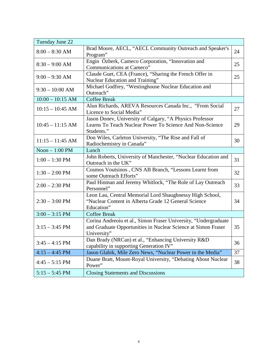| Tuesday June 22          |                                                                                                                                                 |    |  |  |
|--------------------------|-------------------------------------------------------------------------------------------------------------------------------------------------|----|--|--|
| $8:00 - 8:30$ AM         | Brad Moore, AECL, "AECL Community Outreach and Speaker's<br>Program"                                                                            | 24 |  |  |
| $8:30 - 9:00$ AM         | Engin Özberk, Cameco Corporation, "Innovation and<br>Communications at Cameco"                                                                  | 25 |  |  |
| $9:00 - 9:30$ AM         | Claude Guet, CEA (France), "Sharing the French Offer in<br>Nuclear Education and Training"                                                      | 25 |  |  |
| $9:30 - 10:00$ AM        | Michael Godfrey, "Westinghouse Nuclear Education and<br>Outreach"                                                                               |    |  |  |
| $10:00 - 10:15$ AM       | <b>Coffee Break</b>                                                                                                                             |    |  |  |
| $10:15 - 10:45$ AM       | Alun Richards, AREVA Resources Canada Inc., "From Social<br>Licence to Social Media"                                                            | 27 |  |  |
| $10:45 - 11:15$ AM       | Jason Donev, University of Calgary, "A Physics Professor<br>Learns To Teach Nuclear Power To Science And Non-Science<br>Students."              | 29 |  |  |
| $11:15 - 11:45$ AM       | Don Wiles, Carleton University, "The Rise and Fall of<br>Radiochemistry in Canada"                                                              | 30 |  |  |
| Noon $-1:00$ PM<br>Lunch |                                                                                                                                                 |    |  |  |
| $1:00 - 1:30$ PM         | John Roberts, University of Manchester, "Nuclear Education and<br>Outreach in the UK"                                                           | 31 |  |  |
| $1:30 - 2:00$ PM         | Cosmos Voutsinos, CNS AB Branch, "Lessons Learnt from<br>some Outreach Efforts"                                                                 | 32 |  |  |
| $2:00 - 2:30$ PM         | Paul Hinman and Jeremy Whitlock, "The Role of Lay Outreach<br>Personnel"                                                                        | 33 |  |  |
| $2:30 - 3:00$ PM         | Leon Lau, Central Memorial Lord Shaughnessy High School,<br>"Nuclear Content in Alberta Grade 12 General Science<br>Education"                  | 34 |  |  |
| $3:00 - 3:15$ PM         | <b>Coffee Break</b>                                                                                                                             |    |  |  |
| $3:15 - 3:45$ PM         | Corina Andreoiu et al., Simon Fraser University, "Undergraduate<br>and Graduate Opportunities in Nuclear Science at Simon Fraser<br>University" | 35 |  |  |
| $3:45 - 4:15$ PM         | Dan Brady (NRCan) et al., "Enhancing University R&D<br>capability in supporting Generation IV"                                                  | 36 |  |  |
| $4:15 - 4:45$ PM         | Jason Glabik, Mile Zero News, "Nuclear Power in the Media"                                                                                      | 37 |  |  |
| $4:45 - 5:15$ PM         | Duane Bratt, Mount-Royal University, "Debating About Nuclear<br>Power"                                                                          | 38 |  |  |
| $5:15 - 5:45$ PM         | <b>Closing Statements and Discussions</b>                                                                                                       |    |  |  |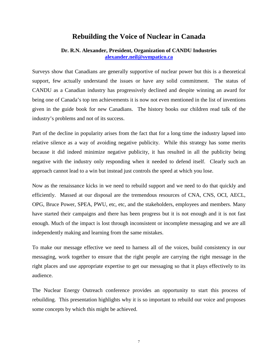#### **Rebuilding the Voice of Nuclear in Canada**

#### <span id="page-6-0"></span>**Dr. R.N. Alexander, President, Organization of CANDU Industries [alexander.neil@sympatico.ca](mailto:alexander.neil@sympatico.ca)**

Surveys show that Canadians are generally supportive of nuclear power but this is a theoretical support, few actually understand the issues or have any solid commitment. The status of CANDU as a Canadian industry has progressively declined and despite winning an award for being one of Canada's top ten achievements it is now not even mentioned in the list of inventions given in the guide book for new Canadians. The history books our children read talk of the industry's problems and not of its success.

Part of the decline in popularity arises from the fact that for a long time the industry lapsed into relative silence as a way of avoiding negative publicity. While this strategy has some merits because it did indeed minimize negative publicity, it has resulted in all the publicity being negative with the industry only responding when it needed to defend itself. Clearly such an approach cannot lead to a win but instead just controls the speed at which you lose.

Now as the renaissance kicks in we need to rebuild support and we need to do that quickly and efficiently. Massed at our disposal are the tremendous resources of CNA, CNS, OCI, AECL, OPG, Bruce Power, SPEA, PWU, etc, etc, and the stakeholders, employees and members. Many have started their campaigns and there has been progress but it is not enough and it is not fast enough. Much of the impact is lost through inconsistent or incomplete messaging and we are all independently making and learning from the same mistakes.

To make our message effective we need to harness all of the voices, build consistency in our messaging, work together to ensure that the right people are carrying the right message in the right places and use appropriate expertise to get our messaging so that it plays effectively to its audience.

The Nuclear Energy Outreach conference provides an opportunity to start this process of rebuilding. This presentation highlights why it is so important to rebuild our voice and proposes some concepts by which this might be achieved.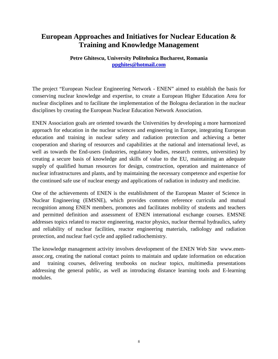### <span id="page-7-0"></span>**European Approaches and Initiatives for Nuclear Education & Training and Knowledge Management**

#### **Petre Ghitescu, University Politehnica Bucharest, Romania [ppghites@hotmail.com](mailto:ppghites@hotmail.com)**

The project "European Nuclear Engineering Network - ENEN" aimed to establish the basis for conserving nuclear knowledge and expertise, to create a European Higher Education Area for nuclear disciplines and to facilitate the implementation of the Bologna declaration in the nuclear disciplines by creating the European Nuclear Education Network Association.

ENEN Association goals are oriented towards the Universities by developing a more harmonized approach for education in the nuclear sciences and engineering in Europe, integrating European education and training in nuclear safety and radiation protection and achieving a better cooperation and sharing of resources and capabilities at the national and international level, as well as towards the End-users (industries, regulatory bodies, research centres, universities) by creating a secure basis of knowledge and skills of value to the EU, maintaining an adequate supply of qualified human resources for design, construction, operation and maintenance of nuclear infrastructures and plants, and by maintaining the necessary competence and expertise for the continued safe use of nuclear energy and applications of radiation in industry and medicine.

One of the achievements of ENEN is the establishment of the European Master of Science in Nuclear Engineering (EMSNE), which provides common reference curricula and mutual recognition among ENEN members, promotes and facilitates mobility of students and teachers and permitted definition and assessment of ENEN international exchange courses. EMSNE addresses topics related to reactor engineering, reactor physics, nuclear thermal hydraulics, safety and reliability of nuclear facilities, reactor engineering materials, radiology and radiation protection, and nuclear fuel cycle and applied radiochemistry.

The knowledge management activity involves development of the ENEN Web Site [www.enen](http://www.enen-assoc.org/)[assoc.org,](http://www.enen-assoc.org/) creating the national contact points to maintain and update information on education and training courses, delivering textbooks on nuclear topics, multimedia presentations addressing the general public, as well as introducing distance learning tools and E-learning modules.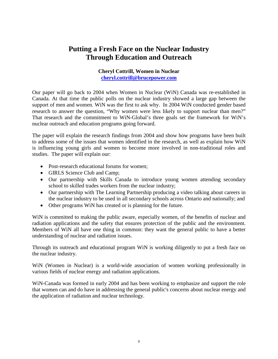### <span id="page-8-0"></span>**Putting a Fresh Face on the Nuclear Industry Through Education and Outreach**

#### **Cheryl Cottrill, Women in Nuclear [cheryl.cottrill@brucepower.com](mailto:cheryl.cottrill@brucepower.com)**

Our paper will go back to 2004 when Women in Nuclear (WiN) Canada was re-established in Canada. At that time the public polls on the nuclear industry showed a large gap between the support of men and women. WiN was the first to ask why. In 2004 WiN conducted gender based research to answer the question, "Why women were less likely to support nuclear than men?" That research and the commitment to WiN-Global's three goals set the framework for WiN's nuclear outreach and education programs going forward.

The paper will explain the research findings from 2004 and show how programs have been built to address some of the issues that women identified in the research, as well as explain how WiN is influencing young girls and women to become more involved in non-traditional roles and studies. The paper will explain our:

- Post-research educational forums for women:
- GIRLS Science Club and Camp;
- Our partnership with Skills Canada to introduce young women attending secondary school to skilled trades workers from the nuclear industry;
- Our partnership with The Learning Partnership producing a video talking about careers in the nuclear industry to be used in all secondary schools across Ontario and nationally; and
- Other programs WiN has created or is planning for the future.

WiN is committed to making the public aware, especially women, of the benefits of nuclear and radiation applications and the safety that ensures protection of the public and the environment. Members of WiN all have one thing in common: they want the general public to have a better understanding of nuclear and radiation issues.

Through its outreach and educational program WiN is working diligently to put a fresh face on the nuclear industry.

WiN (Women in Nuclear) is a world-wide association of women working professionally in various fields of nuclear energy and radiation applications.

WiN-Canada was formed in early 2004 and has been working to emphasize and support the role that women can and do have in addressing the general public's concerns about nuclear energy and the application of radiation and nuclear technology.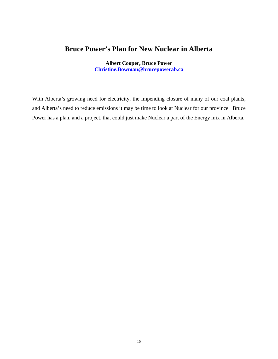### <span id="page-9-0"></span>**Bruce Power's Plan for New Nuclear in Alberta**

**Albert Cooper, Bruce Power [Christine.Bowman@brucepowerab.ca](mailto:Christine.Bowman@brucepowerab.ca)**

With Alberta's growing need for electricity, the impending closure of many of our coal plants, and Alberta's need to reduce emissions it may be time to look at Nuclear for our province. Bruce Power has a plan, and a project, that could just make Nuclear a part of the Energy mix in Alberta.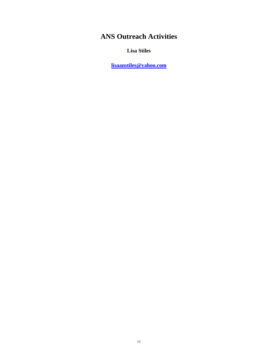# **ANS Outreach Activities**

**Lisa Stiles**

**[lisaanstiles@yahoo.com](mailto:lisaanstiles@yahoo.com)**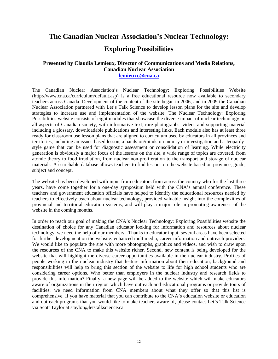# <span id="page-11-0"></span>**The Canadian Nuclear Association's Nuclear Technology: Exploring Possibilities**

#### **Presented by Claudia Lemieux, Director of Communications and Media Relations, Canadian Nuclear Association**

**[lemieuxc@cna.ca](mailto:lemieuxc@cna.ca)**

The Canadian Nuclear Association's Nuclear Technology: Exploring Possibilities Website (http://www.cna.ca/curriculum/default.asp) is a free educational resource now available to secondary teachers across Canada. Development of the content of the site began in 2006, and in 2009 the Canadian Nuclear Association partnered with Let's Talk Science to develop lesson plans for the site and develop strategies to increase use and implementation of the website. The Nuclear Technology: Exploring Possibilities website consists of eight modules that showcase the diverse impact of nuclear technology on all aspects of Canadian society, with informative text, rare photographs, videos and supporting material including a glossary, downloadable publications and interesting links. Each module also has at least three ready for classroom use lesson plans that are aligned to curriculum used by educators in all provinces and territories, including an issues-based lesson, a hands-on/minds-on inquiry or investigation and a Jeopardystyle game that can be used for diagnostic assessment or consolidation of learning. While electricity generation is obviously a major focus of the lessons on the site, a wide range of topics are covered, from atomic theory to food irradiation, from nuclear non-proliferation to the transport and storage of nuclear materials. A searchable database allows teachers to find lessons on the website based on province, grade, subject and concept.

The website has been developed with input from educators from across the country who for the last three years, have come together for a one-day symposium held with the CNA's annual conference. These teachers and government education officials have helped to identify the educational resources needed by teachers to effectively teach about nuclear technology, provided valuable insight into the complexities of provincial and territorial education systems, and will play a major role in promoting awareness of the website in the coming months.

In order to reach our goal of making the CNA's Nuclear Technology: Exploring Possibilities website the destination of choice for any Canadian educator looking for information and resources about nuclear technology, we need the help of our members. Thanks to educator input, several areas have been selected for further development on the website: enhanced multimedia, career information and outreach providers. We would like to populate the site with more photographs, graphics and videos, and wish to draw upon the resources of the CNA to make this website richer. Second, new content is being developed for the website that will highlight the diverse career opportunities available in the nuclear industry. Profiles of people working in the nuclear industry that feature information about their education, background and responsibilities will help to bring this section of the website to life for high school students who are considering career options. Who better than employers in the nuclear industry and research fields to provide this information? Finally, a new page will be added to the website which will make educators aware of organizations in their region which have outreach and educational programs or provide tours of facilities; we need information from CNA members about what they offer so that this list is comprehensive. If you have material that you can contribute to the CNA's education website or education and outreach programs that you would like to make teachers aware of, please contact Let's Talk Science via Scott Taylor at staylor@letstalkscience.ca.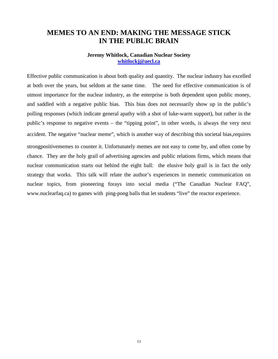#### <span id="page-12-0"></span>**MEMES TO AN END: MAKING THE MESSAGE STICK IN THE PUBLIC BRAIN**

#### **Jeremy Whitlock, Canadian Nuclear Society [whitlockj@aecl.ca](mailto:whitlockj@aecl.ca)**

Effective public communication is about both quality and quantity. The nuclear industry has excelled at both over the years, but seldom at the same time. The need for effective communication is of utmost importance for the nuclear industry, as the enterprise is both dependent upon public money, and saddled with a negative public bias. This bias does not necessarily show up in the public's polling responses (which indicate general apathy with a shot of luke-warm support), but rather in the public's response to negative events – the "tipping point", in other words, is always the very next accident. The negative "nuclear meme", which is another way of describing this societal bias,requires strongpositivememes to counter it. Unfortunately memes are not easy to come by, and often come by chance. They are the holy grail of advertising agencies and public relations firms, which means that nuclear communication starts out behind the eight ball: the elusive holy grail is in fact the only strategy that works. This talk will relate the author's experiences in memetic communication on nuclear topics, from pioneering forays into social media ("The Canadian Nuclear FAQ", www.nuclearfaq.ca) to games with ping-pong balls that let students "live" the reactor experience.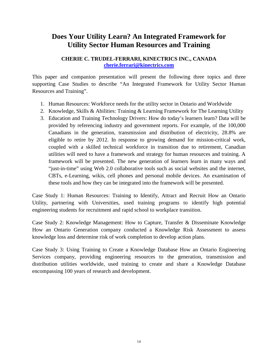### <span id="page-13-0"></span>**Does Your Utility Learn? An Integrated Framework for Utility Sector Human Resources and Training**

#### **CHERIE C. TRUDEL-FERRARI, KINECTRICS INC., CANADA [cherie.ferrari@kinectrics.com](mailto:cherie.ferrari@kinectrics.com)**

This paper and companion presentation will present the following three topics and three supporting Case Studies to describe "An Integrated Framework for Utility Sector Human Resources and Training".

- 1. Human Resources: Workforce needs for the utility sector in Ontario and Worldwide
- 2. Knowledge, Skills & Abilities: Training & Learning Framework for The Learning Utility
- 3. Education and Training Technology Drivers: How do today's learners learn? Data will be provided by referencing industry and government reports. For example, of the 100,000 Canadians in the generation, transmission and distribution of electricity, 28.8% are eligible to retire by 2012. In response to growing demand for mission-critical work, coupled with a skilled technical workforce in transition due to retirement, Canadian utilities will need to have a framework and strategy for human resources and training. A framework will be presented. The new generation of learners learn in many ways and "just-in-time" using Web 2.0 collaborative tools such as social websites and the internet, CBTs, e-Learning, wikis, cell phones and personal mobile devices. An examination of these tools and how they can be integrated into the framework will be presented.

Case Study 1: Human Resources: Training to Identify, Attract and Recruit How an Ontario Utility, partnering with Universities, used training programs to identify high potential engineering students for recruitment and rapid school to workplace transition.

Case Study 2: Knowledge Management: How to Capture, Transfer & Disseminate Knowledge How an Ontario Generation company conducted a Knowledge Risk Assessment to assess knowledge loss and determine risk of work completion to develop action plans.

Case Study 3: Using Training to Create a Knowledge Database How an Ontario Engineering Services company, providing engineering resources to the generation, transmission and distribution utilities worldwide, used training to create and share a Knowledge Database encompassing 100 years of research and development.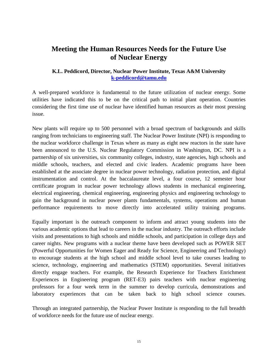### <span id="page-14-0"></span>**Meeting the Human Resources Needs for the Future Use of Nuclear Energy**

#### **K.L. Peddicord, Director, Nuclear Power Institute, Texas A&M University [k-peddicord@tamu.edu](mailto:k-peddicord@tamu.edu)**

A well-prepared workforce is fundamental to the future utilization of nuclear energy. Some utilities have indicated this to be on the critical path to initial plant operation. Countries considering the first time use of nuclear have identified human resources as their most pressing issue.

New plants will require up to 500 personnel with a broad spectrum of backgrounds and skills ranging from technicians to engineering staff. The Nuclear Power Institute (NPI) is responding to the nuclear workforce challenge in Texas where as many as eight new reactors in the state have been announced to the U.S. Nuclear Regulatory Commission in Washington, DC. NPI is a partnership of six universities, six community colleges, industry, state agencies, high schools and middle schools, teachers, and elected and civic leaders. Academic programs have been established at the associate degree in nuclear power technology, radiation protection, and digital instrumentation and control. At the baccalaureate level, a four course, 12 semester hour certificate program in nuclear power technology allows students in mechanical engineering, electrical engineering, chemical engineering, engineering physics and engineering technology to gain the background in nuclear power plants fundamentals, systems, operations and human performance requirements to move directly into accelerated utility training programs.

Equally important is the outreach component to inform and attract young students into the various academic options that lead to careers in the nuclear industry. The outreach efforts include visits and presentations to high schools and middle schools, and participation in college days and career nights. New programs with a nuclear theme have been developed such as POWER SET (Powerful Opportunities for Women Eager and Ready for Science, Engineering and Technology) to encourage students at the high school and middle school level to take courses leading to science, technology, engineering and mathematics (STEM) opportunities. Several initiatives directly engage teachers. For example, the Research Experience for Teachers Enrichment Experiences in Engineering program (RET-E3) pairs teachers with nuclear engineering professors for a four week term in the summer to develop curricula, demonstrations and laboratory experiences that can be taken back to high school science courses.

Through an integrated partnership, the Nuclear Power Institute is responding to the full breadth of workforce needs for the future use of nuclear energy.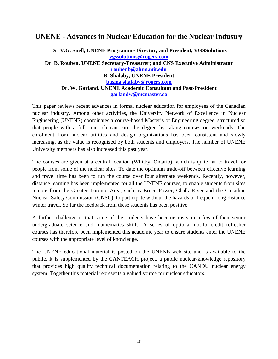#### <span id="page-15-0"></span>**UNENE - Advances in Nuclear Education for the Nuclear Industry**

#### **Dr. V.G. Snell, UNENE Programme Director; and President, VGSSolutions [vgssolutions@rogers.com](mailto:vgssolutions@rogers.com) Dr. B. Rouben, UNENE Secretary-Treasurer; and CNS Executive Administrator [roubenb@alum.mit.edu](mailto:roubenb@alum.mit.edu) B. Shalaby, UNENE President [basma.shalaby@rogers.com](mailto:basma.shalaby@rogers.com) Dr. W. Garland, UNENE Academic Consultant and Past-President [garlandw@mcmaster.ca](mailto:garlandw@mcmaster.ca)**

This paper reviews recent advances in formal nuclear education for employees of the Canadian nuclear industry. Among other activities, the University Network of Excellence in Nuclear Engineering (UNENE) coordinates a course-based Master's of Engineering degree, structured so that people with a full-time job can earn the degree by taking courses on weekends. The enrolment from nuclear utilities and design organizations has been consistent and slowly increasing, as the value is recognized by both students and employers. The number of UNENE University members has also increased this past year.

The courses are given at a central location (Whitby, Ontario), which is quite far to travel for people from some of the nuclear sites. To date the optimum trade-off between effective learning and travel time has been to run the course over four alternate weekends. Recently, however, distance learning has been implemented for all the UNENE courses, to enable students from sites remote from the Greater Toronto Area, such as Bruce Power, Chalk River and the Canadian Nuclear Safety Commission (CNSC), to participate without the hazards of frequent long-distance winter travel. So far the feedback from these students has been positive.

A further challenge is that some of the students have become rusty in a few of their senior undergraduate science and mathematics skills. A series of optional not-for-credit refresher courses has therefore been implemented this academic year to ensure students enter the UNENE courses with the appropriate level of knowledge.

The UNENE educational material is posted on the UNENE web site and is available to the public. It is supplemented by the CANTEACH project, a public nuclear-knowledge repository that provides high quality technical documentation relating to the CANDU nuclear energy system. Together this material represents a valued source for nuclear educators.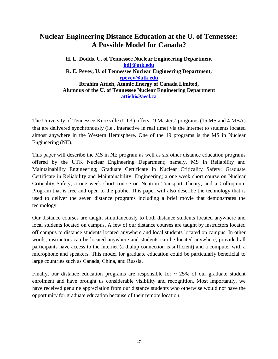### <span id="page-16-0"></span>**Nuclear Engineering Distance Education at the U. of Tennessee: A Possible Model for Canada?**

**H. L. Dodds, U. of Tennessee Nuclear Engineering Department [hdj@utk.edu](mailto:hdj@utk.edu) R. E. Pevey, U. of Tennessee Nuclear Engineering Department, [rpevey@utk.edu](mailto:rpevey@utk.edu) Ibrahim Attieh, Atomic Energy of Canada Limited, Alumnus of the U. of Tennessee Nuclear Engineering Department [attiehi@aecl.ca](mailto:attiehi@aecl.ca)**

The University of Tennessee-Knoxville (UTK) offers 19 Masters' programs (15 MS and 4 MBA) that are delivered synchronously (i.e., interactive in real time) via the Internet to students located almost anywhere in the Western Hemisphere. One of the 19 programs is the MS in Nuclear Engineering (NE).

This paper will describe the MS in NE program as well as six other distance education programs offered by the UTK Nuclear Engineering Department; namely, MS in Reliability and Maintainability Engineering; Graduate Certificate in Nuclear Criticality Safety; Graduate Certificate in Reliability and Maintainability Engineering; a one week short course on Nuclear Criticality Safety; a one week short course on Neutron Transport Theory; and a Colloquium Program that is free and open to the public. This paper will also describe the technology that is used to deliver the seven distance programs including a brief movie that demonstrates the technology.

Our distance courses are taught simultaneously to both distance students located anywhere and local students located on campus. A few of our distance courses are taught by instructors located off campus to distance students located anywhere and local students located on campus. In other words, instructors can be located anywhere and students can be located anywhere, provided all participants have access to the internet (a dialup connection is sufficient) and a computer with a microphone and speakers. This model for graduate education could be particularly beneficial to large countries such as Canada, China, and Russia.

Finally, our distance education programs are responsible for  $\sim$  25% of our graduate student enrolment and have brought us considerable visibility and recognition. Most importantly, we have received genuine appreciation from our distance students who otherwise would not have the opportunity for graduate education because of their remote location.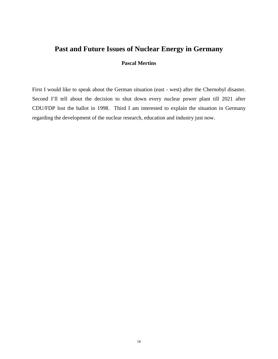#### <span id="page-17-0"></span>**Past and Future Issues of Nuclear Energy in Germany**

#### **Pascal Mertins**

First I would like to speak about the German situation (east - west) after the Chernobyl disaster. Second I'll tell about the decision to shut down every nuclear power plant till 2021 after CDU/FDP lost the ballot in 1998. Third I am interested to explain the situation in Germany regarding the development of the nuclear research, education and industry just now.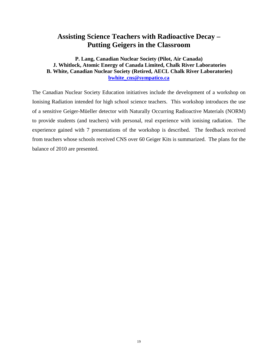### <span id="page-18-0"></span>**Assisting Science Teachers with Radioactive Decay – Putting Geigers in the Classroom**

#### **P. Lang, Canadian Nuclear Society (Pilot, Air Canada) J. Whitlock, Atomic Energy of Canada Limited, Chalk River Laboratories B. White, Canadian Nuclear Society (Retired, AECL Chalk River Laboratories) [bwhite\\_cns@sympatico.ca](mailto:bwhite_cns@sympatico.ca)**

The Canadian Nuclear Society Education initiatives include the development of a workshop on Ionising Radiation intended for high school science teachers. This workshop introduces the use of a sensitive Geiger-Müeller detector with Naturally Occurring Radioactive Materials (NORM) to provide students (and teachers) with personal, real experience with ionising radiation. The experience gained with 7 presentations of the workshop is described. The feedback received from teachers whose schools received CNS over 60 Geiger Kits is summarized. The plans for the balance of 2010 are presented.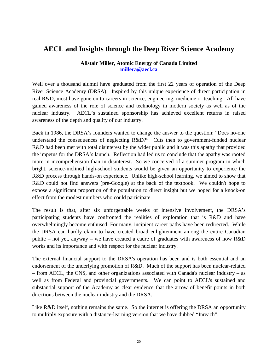### <span id="page-19-0"></span>**AECL and Insights through the Deep River Science Academy**

#### **Alistair Miller, Atomic Energy of Canada Limited [millera@aecl.ca](mailto:millera@aecl.ca)**

Well over a thousand alumni have graduated from the first 22 years of operation of the Deep River Science Academy (DRSA). Inspired by this unique experience of direct participation in real R&D, most have gone on to careers in science, engineering, medicine or teaching. All have gained awareness of the role of science and technology in modern society as well as of the nuclear industry. AECL's sustained sponsorship has achieved excellent returns in raised awareness of the depth and quality of our industry.

Back in 1986, the DRSA's founders wanted to change the answer to the question: "Does no-one understand the consequences of neglecting R&D?" Cuts then to government-funded nuclear R&D had been met with total disinterest by the wider public and it was this apathy that provided the impetus for the DRSA's launch. Reflection had led us to conclude that the apathy was rooted more in incomprehension than in disinterest. So we conceived of a summer program in which bright, science-inclined high-school students would be given an opportunity to experience the R&D process through hands-on experience. Unlike high-school learning, we aimed to show that R&D could not find answers (pre-Google) at the back of the textbook. We couldn't hope to expose a significant proportion of the population to direct insight but we hoped for a knock-on effect from the modest numbers who could participate.

The result is that, after six unforgettable weeks of intensive involvement, the DRSA's participating students have confronted the realities of exploration that is R&D and have overwhelmingly become enthused. For many, incipient career paths have been redirected. While the DRSA can hardly claim to have created broad enlightenment among the entire Canadian public – not yet, anyway – we have created a cadre of graduates with awareness of how R&D works and its importance and with respect for the nuclear industry.

The external financial support to the DRSA's operation has been and is both essential and an endorsement of the underlying promotion of R&D. Much of the support has been nuclear-related – from AECL, the CNS, and other organizations associated with Canada's nuclear industry – as well as from Federal and provincial governments. We can point to AECL's sustained and substantial support of the Academy as clear evidence that the arrow of benefit points in both directions between the nuclear industry and the DRSA.

Like R&D itself, nothing remains the same. So the internet is offering the DRSA an opportunity to multiply exposure with a distance-learning version that we have dubbed "Inreach".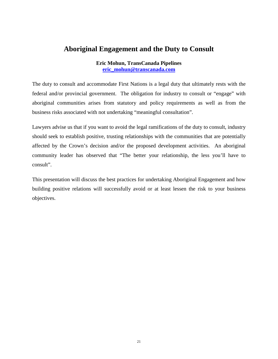### <span id="page-20-0"></span>**Aboriginal Engagement and the Duty to Consult**

**Eric Mohun, TransCanada Pipelines [eric\\_mohun@transcanada.com](mailto:eric_mohun@transcanada.com)**

The duty to consult and accommodate First Nations is a legal duty that ultimately rests with the federal and/or provincial government. The obligation for industry to consult or "engage" with aboriginal communities arises from statutory and policy requirements as well as from the business risks associated with not undertaking "meaningful consultation".

Lawyers advise us that if you want to avoid the legal ramifications of the duty to consult, industry should seek to establish positive, trusting relationships with the communities that are potentially affected by the Crown's decision and/or the proposed development activities. An aboriginal community leader has observed that "The better your relationship, the less you'll have to consult".

This presentation will discuss the best practices for undertaking Aboriginal Engagement and how building positive relations will successfully avoid or at least lessen the risk to your business objectives.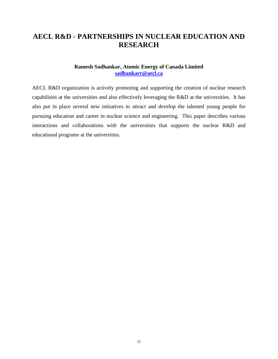### <span id="page-21-0"></span>**AECL R&D - PARTNERSHIPS IN NUCLEAR EDUCATION AND RESEARCH**

#### **Ramesh Sadhankar, Atomic Energy of Canada Limited [sadhankarr@aecl.ca](mailto:sadhankarr@aecl.ca)**

AECL R&D organization is actively promoting and supporting the creation of nuclear research capabilities at the universities and also effectively leveraging the R&D at the universities. It has also put in place several new initiatives to attract and develop the talented young people for pursuing education and career in nuclear science and engineering. This paper describes various interactions and collaborations with the universities that supports the nuclear R&D and educational programs at the universities.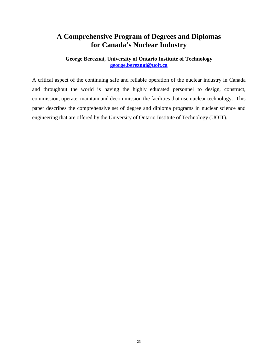### <span id="page-22-0"></span>**A Comprehensive Program of Degrees and Diplomas for Canada's Nuclear Industry**

#### **George Bereznai, University of Ontario Institute of Technology [george.bereznai@uoit.ca](mailto:george.bereznai@uoit.ca)**

A critical aspect of the continuing safe and reliable operation of the nuclear industry in Canada and throughout the world is having the highly educated personnel to design, construct, commission, operate, maintain and decommission the facilities that use nuclear technology. This paper describes the comprehensive set of degree and diploma programs in nuclear science and engineering that are offered by the University of Ontario Institute of Technology (UOIT).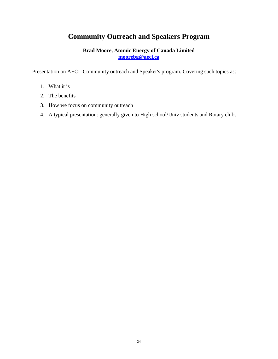### <span id="page-23-0"></span>**Community Outreach and Speakers Program**

#### **Brad Moore, Atomic Energy of Canada Limited [moorebg@aecl.ca](mailto:moorebg@aecl.ca)**

Presentation on AECL Community outreach and Speaker's program. Covering such topics as:

- 1. What it is
- 2. The benefits
- 3. How we focus on community outreach
- 4. A typical presentation: generally given to High school/Univ students and Rotary clubs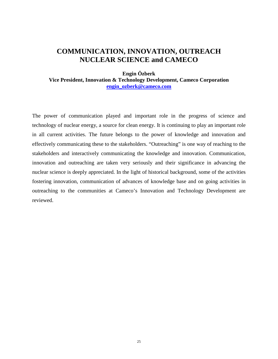### <span id="page-24-1"></span>**COMMUNICATION, INNOVATION, OUTREACH NUCLEAR SCIENCE and CAMECO**

<span id="page-24-0"></span>**Engin Özberk Vice President, Innovation & Technology Development, Cameco Corporation [engin\\_ozberk@cameco.com](mailto:engin_ozberk@cameco.com)**

The power of communication played and important role in the progress of science and technology of nuclear energy, a source for clean energy. It is continuing to play an important role in all current activities. The future belongs to the power of knowledge and innovation and effectively communicating these to the stakeholders. "Outreaching" is one way of reaching to the stakeholders and interactively communicating the knowledge and innovation. Communication, innovation and outreaching are taken very seriously and their significance in advancing the nuclear science is deeply appreciated. In the light of historical background, some of the activities fostering innovation, communication of advances of knowledge base and on going activities in outreaching to the communities at Cameco's Innovation and Technology Development are reviewed.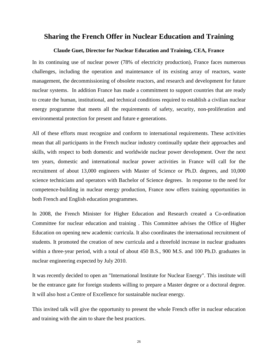#### **Sharing the French Offer in Nuclear Education and Training**

#### **Claude Guet, Director for Nuclear Education and Training, CEA, France**

In its continuing use of nuclear power (78% of electricity production), France faces numerous challenges, including the operation and maintenance of its existing array of reactors, waste management, the decommissioning of obsolete reactors, and research and development for future nuclear systems. In addition France has made a commitment to support countries that are ready to create the human, institutional, and technical conditions required to establish a civilian nuclear energy programme that meets all the requirements of safety, security, non-proliferation and environmental protection for present and future e generations.

All of these efforts must recognize and conform to international requirements. These activities mean that all participants in the French nuclear industry continually update their approaches and skills, with respect to both domestic and worldwide nuclear power development. Over the next ten years, domestic and international nuclear power activities in France will call for the recruitment of about 13,000 engineers with Master of Science or Ph.D. degrees, and 10,000 science technicians and operators with Bachelor of Science degrees. In response to the need for competence-building in nuclear energy production, France now offers training opportunities in both French and English education programmes.

In 2008, the French Minister for Higher Education and Research created a Co-ordination Committee for nuclear education and training . This Committee advises the Office of Higher Education on opening new academic curricula. It also coordinates the international recruitment of students. It promoted the creation of new curricula and a threefold increase in nuclear graduates within a three-year period, with a total of about 450 B.S., 900 M.S. and 100 Ph.D. graduates in nuclear engineering expected by July 2010.

It was recently decided to open an "International Institute for Nuclear Energy". This institute will be the entrance gate for foreign students willing to prepare a Master degree or a doctoral degree. It will also host a Centre of Excellence for sustainable nuclear energy.

This invited talk will give the opportunity to present the whole French offer in nuclear education and training with the aim to share the best practices.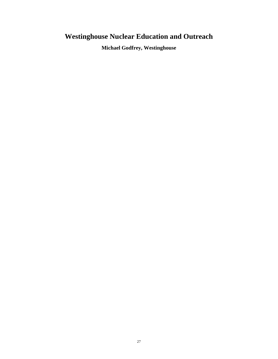# <span id="page-26-0"></span>**Westinghouse Nuclear Education and Outreach**

**Michael Godfrey, Westinghouse**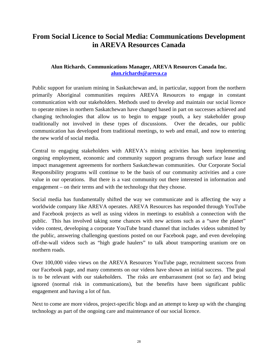### **From Social Licence to Social Media: Communications Development in AREVA Resources Canada**

#### **Alun Richards**, **Communications Manager, AREVA Resources Canada Inc. [alun.richards@areva.ca](mailto:alun.richards@areva.ca)**

Public support for uranium mining in Saskatchewan and, in particular, support from the northern primarily Aboriginal communities requires AREVA Resources to engage in constant communication with our stakeholders. Methods used to develop and maintain our social licence to operate mines in northern Saskatchewan have changed based in part on successes achieved and changing technologies that allow us to begin to engage youth, a key stakeholder group traditionally not involved in these types of discussions. Over the decades, our public communication has developed from traditional meetings, to web and email, and now to entering the new world of social media.

Central to engaging stakeholders with AREVA's mining activities has been implementing ongoing employment, economic and community support programs through surface lease and impact management agreements for northern Saskatchewan communities. Our Corporate Social Responsibility programs will continue to be the basis of our community activities and a core value in our operations. But there is a vast community out there interested in information and engagement – on their terms and with the technology that they choose.

Social media has fundamentally shifted the way we communicate and is affecting the way a worldwide company like AREVA operates. AREVA Resources has responded through YouTube and Facebook projects as well as using videos in meetings to establish a connection with the public. This has involved taking some chances with new actions such as a "save the planet" video contest, developing a corporate YouTube brand channel that includes videos submitted by the public, answering challenging questions posted on our Facebook page, and even developing off-the-wall videos such as "high grade haulers" to talk about transporting uranium ore on northern roads.

Over 100,000 video views on the AREVA Resources YouTube page, recruitment success from our Facebook page, and many comments on our videos have shown an initial success. The goal is to be relevant with our stakeholders. The risks are embarrassment (not so far) and being ignored (normal risk in communications), but the benefits have been significant public engagement and having a lot of fun.

Next to come are more videos, project-specific blogs and an attempt to keep up with the changing technology as part of the ongoing care and maintenance of our social licence.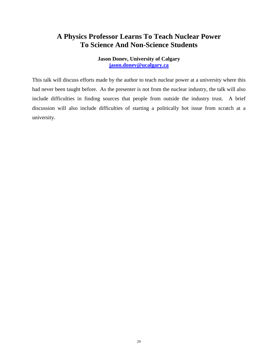### <span id="page-28-0"></span>**A Physics Professor Learns To Teach Nuclear Power To Science And Non-Science Students**

**Jason Donev, University of Calgary [jason.donev@ucalgary.ca](mailto:jason.donev@ucalgary.ca)** 

This talk will discuss efforts made by the author to teach nuclear power at a university where this had never been taught before. As the presenter is not from the nuclear industry, the talk will also include difficulties in finding sources that people from outside the industry trust. A brief discussion will also include difficulties of starting a politically hot issue from scratch at a university.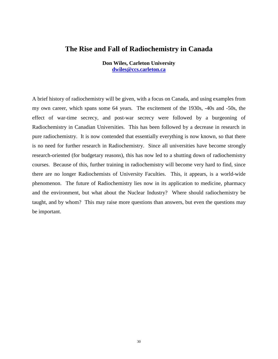#### <span id="page-29-0"></span>**The Rise and Fall of Radiochemistry in Canada**

**Don Wiles, Carleton University [dwiles@ccs.carleton.ca](mailto:dwiles@ccs.carleton.ca)**

A brief history of radiochemistry will be given, with a focus on Canada, and using examples from my own career, which spans some 64 years. The excitement of the 1930s, -40s and -50s, the effect of war-time secrecy, and post-war secrecy were followed by a burgeoning of Radiochemistry in Canadian Universities. This has been followed by a decrease in research in pure radiochemistry. It is now contended that essentially everything is now known, so that there is no need for further research in Radiochemistry. Since all universities have become strongly research-oriented (for budgetary reasons), this has now led to a shutting down of radiochemistry courses. Because of this, further training in radiochemistry will become very hard to find, since there are no longer Radiochemists of University Faculties. This, it appears, is a world-wide phenomenon. The future of Radiochemistry lies now in its application to medicine, pharmacy and the environment, but what about the Nuclear Industry? Where should radiochemistry be taught, and by whom? This may raise more questions than answers, but even the questions may be important.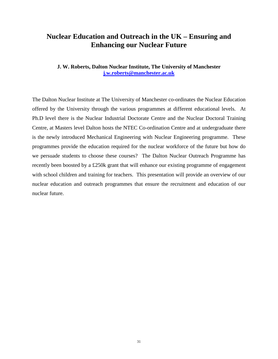### <span id="page-30-0"></span>**Nuclear Education and Outreach in the UK – Ensuring and Enhancing our Nuclear Future**

**J. W. Roberts, Dalton Nuclear Institute, The University of Manchester [j.w.roberts@manchester.ac.uk](mailto:j.w.roberts@manchester.ac.uk)**

The Dalton Nuclear Institute at The University of Manchester co-ordinates the Nuclear Education offered by the University through the various programmes at different educational levels. At Ph.D level there is the Nuclear Industrial Doctorate Centre and the Nuclear Doctoral Training Centre, at Masters level Dalton hosts the NTEC Co-ordination Centre and at undergraduate there is the newly introduced Mechanical Engineering with Nuclear Engineering programme. These programmes provide the education required for the nuclear workforce of the future but how do we persuade students to choose these courses? The Dalton Nuclear Outreach Programme has recently been boosted by a £250k grant that will enhance our existing programme of engagement with school children and training for teachers. This presentation will provide an overview of our nuclear education and outreach programmes that ensure the recruitment and education of our nuclear future.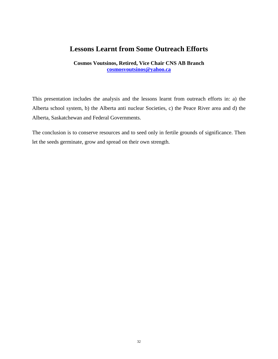### <span id="page-31-0"></span>**Lessons Learnt from Some Outreach Efforts**

**Cosmos Voutsinos, Retired, Vice Chair CNS AB Branch [cosmosvoutsinos@yahoo.ca](mailto:cosmosvoutsinos@yahoo.ca)**

This presentation includes the analysis and the lessons learnt from outreach efforts in: a) the Alberta school system, b) the Alberta anti nuclear Societies, c) the Peace River area and d) the Alberta, Saskatchewan and Federal Governments.

The conclusion is to conserve resources and to seed only in fertile grounds of significance. Then let the seeds germinate, grow and spread on their own strength.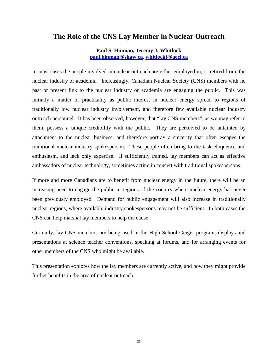#### <span id="page-32-0"></span>**The Role of the CNS Lay Member in Nuclear Outreach**

**Paul S. Hinman, Jeremy J. Whitlock [paul.hinman@shaw.ca,](mailto:paul.hinman@shaw.ca) [whitlockj@aecl.ca](mailto:whitlockj@aecl.ca)**

In most cases the people involved in nuclear outreach are either employed in, or retired from, the nuclear industry or academia. Increasingly, Canadian Nuclear Society (CNS) members with no past or present link to the nuclear industry or academia are engaging the public. This was initially a matter of practicality as public interest in nuclear energy spread to regions of traditionally low nuclear industry involvement, and therefore few available nuclear industry outreach personnel. It has been observed, however, that "lay CNS members", as we may refer to them, possess a unique credibility with the public. They are perceived to be untainted by attachment to the nuclear business, and therefore portray a sincerity that often escapes the traditional nuclear industry spokesperson. These people often bring to the task eloquence and enthusiasm, and lack only expertise. If sufficiently trained, lay members can act as effective ambassadors of nuclear technology, sometimes acting in concert with traditional spokespersons.

If more and more Canadians are to benefit from nuclear energy in the future, there will be an increasing need to engage the public in regions of the country where nuclear energy has never been previously employed. Demand for public engagement will also increase in traditionally nuclear regions, where available industry spokespersons may not be sufficient. In both cases the CNS can help marshal lay members to help the cause.

Currently, lay CNS members are being used in the High School Geiger program, displays and presentations at science teacher conventions, speaking at forums, and for arranging events for other members of the CNS who might be available.

This presentation explores how the lay members are currently active, and how they might provide further benefits in the area of nuclear outreach.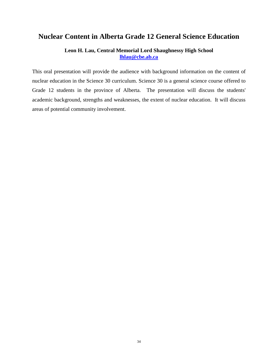#### <span id="page-33-0"></span>**Nuclear Content in Alberta Grade 12 General Science Education**

#### **Leon H. Lau, Central Memorial Lord Shaughnessy High School [lhlau@cbe.ab.ca](mailto:lhlau@cbe.ab.ca)**

This oral presentation will provide the audience with background information on the content of nuclear education in the Science 30 curriculum. Science 30 is a general science course offered to Grade 12 students in the province of Alberta. The presentation will discuss the students' academic background, strengths and weaknesses, the extent of nuclear education. It will discuss areas of potential community involvement.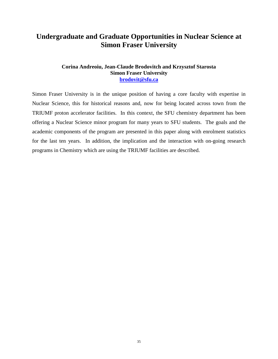### <span id="page-34-0"></span>**Undergraduate and Graduate Opportunities in Nuclear Science at Simon Fraser University**

#### **Corina Andreoiu, Jean-Claude Brodovitch and Krzysztof Starosta Simon Fraser University [brodovit@sfu.ca](mailto:brodovit@sfu.ca)**

Simon Fraser University is in the unique position of having a core faculty with expertise in Nuclear Science, this for historical reasons and, now for being located across town from the TRIUMF proton accelerator facilities. In this context, the SFU chemistry department has been offering a Nuclear Science minor program for many years to SFU students. The goals and the academic components of the program are presented in this paper along with enrolment statistics for the last ten years. In addition, the implication and the interaction with on-going research programs in Chemistry which are using the TRIUMF facilities are described.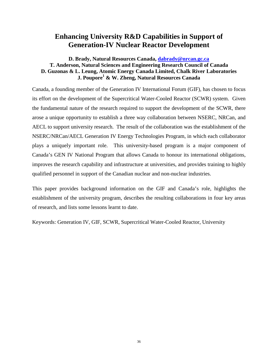### <span id="page-35-0"></span>**Enhancing University R&D Capabilities in Support of Generation-IV Nuclear Reactor Development**

#### **D. Brady, Natural Resources Canada, [dabrady@nrcan.gc.ca](mailto:dabrady@nrcan.gc.ca) T. Anderson, Natural Sciences and Engineering Research Council of Canada D. Guzonas & L. Leung, Atomic Energy Canada Limited, Chalk River Laboratories J. Poupore1 & W. Zheng, Natural Resources Canada**

Canada, a founding member of the Generation IV International Forum (GIF), has chosen to focus its effort on the development of the Supercritical Water-Cooled Reactor (SCWR) system. Given the fundamental nature of the research required to support the development of the SCWR, there arose a unique opportunity to establish a three way collaboration between NSERC, NRCan, and AECL to support university research. The result of the collaboration was the establishment of the NSERC/NRCan/AECL Generation IV Energy Technologies Program, in which each collaborator plays a uniquely important role. This university-based program is a major component of Canada's GEN IV National Program that allows Canada to honour its international obligations, improves the research capability and infrastructure at universities, and provides training to highly qualified personnel in support of the Canadian nuclear and non-nuclear industries.

This paper provides background information on the GIF and Canada's role, highlights the establishment of the university program, describes the resulting collaborations in four key areas of research, and lists some lessons learnt to date.

Keywords: Generation IV, GIF, SCWR, Supercritical Water-Cooled Reactor, University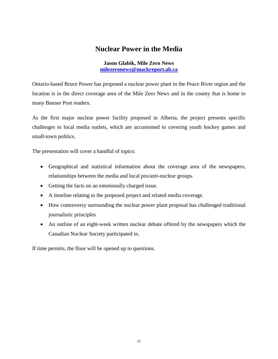### **Nuclear Power in the Media**

**Jason Glabik, Mile Zero News [milezeronews@mackreport.ab.ca](mailto:milezeronews@mackreport.ab.ca)**

<span id="page-36-0"></span>Ontario-based Bruce Power has proposed a nuclear power plant in the Peace River region and the location is in the direct coverage area of the Mile Zero News and in the county that is home to many Banner Post readers.

As the first major nuclear power facility proposed in Alberta, the project presents specific challenges to local media outlets, which are accustomed to covering youth hockey games and small-town politics.

The presentation will cover a handful of topics:

- Geographical and statistical information about the coverage area of the newspapers, relationships between the media and local pro/anti-nuclear groups.
- Getting the facts on an emotionally charged issue.
- A timeline relating to the proposed project and related media coverage.
- How controversy surrounding the nuclear power plant proposal has challenged traditional journalistic principles
- An outline of an eight-week written nuclear debate offered by the newspapers which the Canadian Nuclear Society participated in.

If time permits, the floor will be opened up to questions.